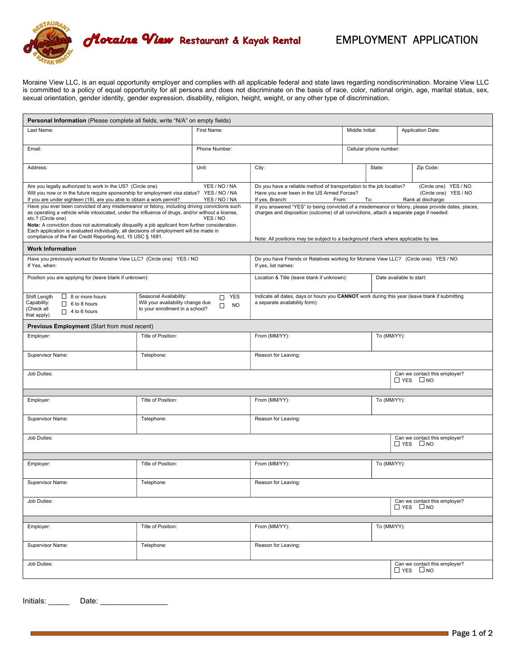

r

## EMPLOYMENT APPLICATION

Moraine View LLC, is an equal opportunity employer and complies with all applicable federal and state laws regarding nondiscrimination. Moraine View LLC is committed to a policy of equal opportunity for all persons and does not discriminate on the basis of race, color, national origin, age, marital status, sex, sexual orientation, gender identity, gender expression, disability, religion, height, weight, or any other type of discrimination.

| <b>Personal Information</b> (Please complete all fields, write "N/A" on empty fields)                                                                                                                                                                                                                                                                                                                                                                                                  |                                                                                                                                                                                                                                                                                    |                                        |                                                                                                                                                                                                                               |                        |             |                                                       |  |  |
|----------------------------------------------------------------------------------------------------------------------------------------------------------------------------------------------------------------------------------------------------------------------------------------------------------------------------------------------------------------------------------------------------------------------------------------------------------------------------------------|------------------------------------------------------------------------------------------------------------------------------------------------------------------------------------------------------------------------------------------------------------------------------------|----------------------------------------|-------------------------------------------------------------------------------------------------------------------------------------------------------------------------------------------------------------------------------|------------------------|-------------|-------------------------------------------------------|--|--|
| Last Name:                                                                                                                                                                                                                                                                                                                                                                                                                                                                             |                                                                                                                                                                                                                                                                                    | First Name:                            |                                                                                                                                                                                                                               | Middle Initial:        |             | <b>Application Date:</b>                              |  |  |
| Email:                                                                                                                                                                                                                                                                                                                                                                                                                                                                                 |                                                                                                                                                                                                                                                                                    | Phone Number:                          |                                                                                                                                                                                                                               | Cellular phone number: |             |                                                       |  |  |
| Address:                                                                                                                                                                                                                                                                                                                                                                                                                                                                               | Unit:                                                                                                                                                                                                                                                                              | City:                                  |                                                                                                                                                                                                                               | State:                 | Zip Code:   |                                                       |  |  |
| Are you legally authorized to work in the US? (Circle one)<br>YES / NO / NA<br>Will you now or in the future require sponsorship for employment visa status? YES / NO / NA<br>If you are under eighteen (18), are you able to obtain a work permit?<br>YES / NO / NA                                                                                                                                                                                                                   |                                                                                                                                                                                                                                                                                    |                                        | Do you have a reliable method of transportation to the job location?<br>(Circle one) YES / NO<br>Have you ever been in the US Armed Forces?<br>(Circle one) YES / NO<br>If yes, Branch:<br>Rank at discharge:<br>From:<br>To: |                        |             |                                                       |  |  |
| Have you ever been convicted of any misdemeanor or felony, including driving convictions such<br>as operating a vehicle while intoxicated, under the influence of drugs, and/or without a license,<br>etc.? (Circle one)<br>Note: A conviction does not automatically disqualify a job applicant from further consideration.<br>Each application is evaluated individually, all decisions of employment will be made in<br>compliance of the Fair Credit Reporting Act, 15 USC § 1681. | If you answered "YES" to being convicted of a misdemeanor or felony, please provide dates, places,<br>charges and disposition (outcome) of all convictions, attach a separate page if needed:<br>Note: All positions may be subject to a background check where applicable by law. |                                        |                                                                                                                                                                                                                               |                        |             |                                                       |  |  |
| <b>Work Information</b>                                                                                                                                                                                                                                                                                                                                                                                                                                                                |                                                                                                                                                                                                                                                                                    |                                        |                                                                                                                                                                                                                               |                        |             |                                                       |  |  |
| Have you previously worked for Moraine View LLC? (Circle one) YES / NO<br>If Yes, when:                                                                                                                                                                                                                                                                                                                                                                                                | Do you have Friends or Relatives working for Moraine View LLC? (Circle one) YES / NO<br>If yes, list names:                                                                                                                                                                        |                                        |                                                                                                                                                                                                                               |                        |             |                                                       |  |  |
| Position you are applying for (leave blank if unknown):                                                                                                                                                                                                                                                                                                                                                                                                                                | Location & Title (leave blank if unknown):<br>Date available to start:                                                                                                                                                                                                             |                                        |                                                                                                                                                                                                                               |                        |             |                                                       |  |  |
| Shift Length<br>$\Box$ 8 or more hours<br>Capability:<br>$\Box$ 6 to 8 hours<br>(Check all<br>$\Box$ 4 to 6 hours<br>that apply)                                                                                                                                                                                                                                                                                                                                                       | Seasonal Availability:<br>Will your availability change due<br>to your enrollment in a school?                                                                                                                                                                                     | <b>YES</b><br>П<br>$\Box$<br><b>NO</b> | Indicate all dates, days or hours you CANNOT work during this year (leave blank if submitting<br>a separate availability form):                                                                                               |                        |             |                                                       |  |  |
| <b>Previous Employment (Start from most recent)</b>                                                                                                                                                                                                                                                                                                                                                                                                                                    |                                                                                                                                                                                                                                                                                    |                                        |                                                                                                                                                                                                                               |                        |             |                                                       |  |  |
| Employer:                                                                                                                                                                                                                                                                                                                                                                                                                                                                              | Title of Position:                                                                                                                                                                                                                                                                 |                                        | From (MM/YY):<br>To (MM/YY):                                                                                                                                                                                                  |                        |             |                                                       |  |  |
| Supervisor Name:                                                                                                                                                                                                                                                                                                                                                                                                                                                                       | Telephone:<br>Reason for Leaving:                                                                                                                                                                                                                                                  |                                        |                                                                                                                                                                                                                               |                        |             |                                                       |  |  |
| Job Duties:                                                                                                                                                                                                                                                                                                                                                                                                                                                                            |                                                                                                                                                                                                                                                                                    |                                        |                                                                                                                                                                                                                               |                        |             | Can we contact this employer?<br>$\Box$ YES $\Box$ NO |  |  |
|                                                                                                                                                                                                                                                                                                                                                                                                                                                                                        |                                                                                                                                                                                                                                                                                    |                                        |                                                                                                                                                                                                                               |                        |             |                                                       |  |  |
| Employer:                                                                                                                                                                                                                                                                                                                                                                                                                                                                              | Title of Position:                                                                                                                                                                                                                                                                 |                                        | From (MM/YY):                                                                                                                                                                                                                 |                        | To (MM/YY): |                                                       |  |  |
| Supervisor Name:                                                                                                                                                                                                                                                                                                                                                                                                                                                                       | Telephone:<br>Reason for Leaving:                                                                                                                                                                                                                                                  |                                        |                                                                                                                                                                                                                               |                        |             |                                                       |  |  |
| Job Duties:                                                                                                                                                                                                                                                                                                                                                                                                                                                                            |                                                                                                                                                                                                                                                                                    |                                        |                                                                                                                                                                                                                               |                        |             | Can we contact this employer?<br>$\Box$ YES $\Box$ NO |  |  |
|                                                                                                                                                                                                                                                                                                                                                                                                                                                                                        |                                                                                                                                                                                                                                                                                    |                                        |                                                                                                                                                                                                                               |                        |             |                                                       |  |  |
| Title of Position:<br>Employer:                                                                                                                                                                                                                                                                                                                                                                                                                                                        |                                                                                                                                                                                                                                                                                    | From (MM/YY):                          |                                                                                                                                                                                                                               |                        | To (MM/YY): |                                                       |  |  |
| Supervisor Name:<br>Telephone:<br>Reason for Leaving:                                                                                                                                                                                                                                                                                                                                                                                                                                  |                                                                                                                                                                                                                                                                                    |                                        |                                                                                                                                                                                                                               |                        |             |                                                       |  |  |
| Job Duties:                                                                                                                                                                                                                                                                                                                                                                                                                                                                            |                                                                                                                                                                                                                                                                                    |                                        |                                                                                                                                                                                                                               |                        |             | Can we contact this employer?<br>$\Box$ YES $\Box$ NO |  |  |
| Employer:                                                                                                                                                                                                                                                                                                                                                                                                                                                                              | Title of Position:                                                                                                                                                                                                                                                                 |                                        | From (MM/YY):                                                                                                                                                                                                                 |                        | To (MM/YY): |                                                       |  |  |
|                                                                                                                                                                                                                                                                                                                                                                                                                                                                                        |                                                                                                                                                                                                                                                                                    |                                        |                                                                                                                                                                                                                               |                        |             |                                                       |  |  |
| Supervisor Name:                                                                                                                                                                                                                                                                                                                                                                                                                                                                       | Telephone:                                                                                                                                                                                                                                                                         |                                        | Reason for Leaving:                                                                                                                                                                                                           |                        |             |                                                       |  |  |
| Job Duties:                                                                                                                                                                                                                                                                                                                                                                                                                                                                            |                                                                                                                                                                                                                                                                                    |                                        |                                                                                                                                                                                                                               |                        |             | Can we contact this employer?<br>$\Box$ YES $\Box$ NO |  |  |

Initials: \_\_\_\_\_ Date: \_\_\_\_\_\_\_\_\_\_\_\_\_\_\_\_